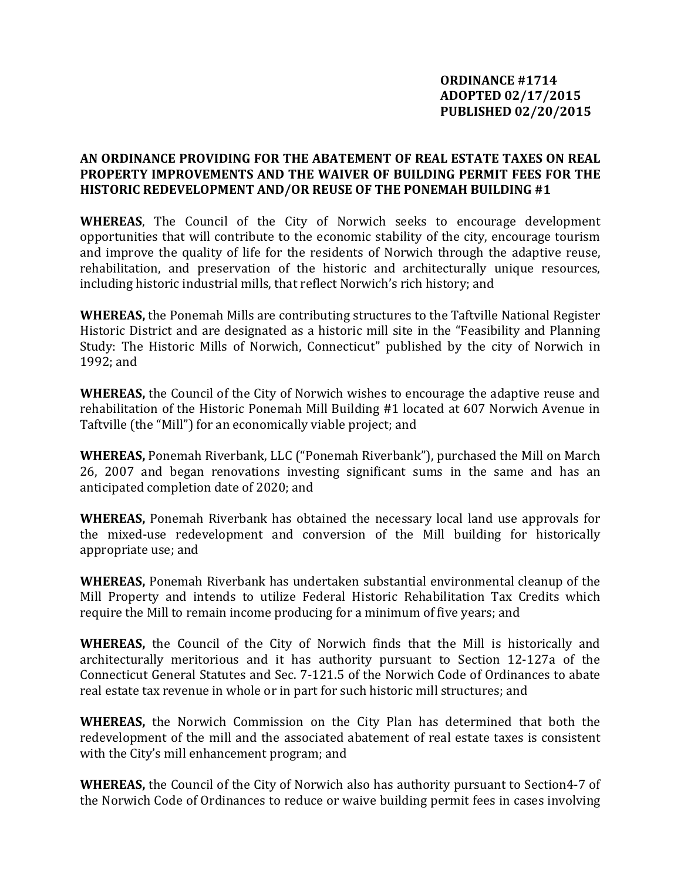## **AN ORDINANCE PROVIDING FOR THE ABATEMENT OF REAL ESTATE TAXES ON REAL PROPERTY IMPROVEMENTS AND THE WAIVER OF BUILDING PERMIT FEES FOR THE HISTORIC REDEVELOPMENT AND/OR REUSE OF THE PONEMAH BUILDING #1**

**WHEREAS**, The Council of the City of Norwich seeks to encourage development opportunities that will contribute to the economic stability of the city, encourage tourism and improve the quality of life for the residents of Norwich through the adaptive reuse, rehabilitation, and preservation of the historic and architecturally unique resources, including historic industrial mills, that reflect Norwich's rich history; and

**WHEREAS,** the Ponemah Mills are contributing structures to the Taftville National Register Historic District and are designated as a historic mill site in the "Feasibility and Planning Study: The Historic Mills of Norwich, Connecticut" published by the city of Norwich in 1992; and

**WHEREAS,** the Council of the City of Norwich wishes to encourage the adaptive reuse and rehabilitation of the Historic Ponemah Mill Building #1 located at 607 Norwich Avenue in Taftville (the "Mill") for an economically viable project; and

**WHEREAS,** Ponemah Riverbank, LLC ("Ponemah Riverbank"), purchased the Mill on March 26, 2007 and began renovations investing significant sums in the same and has an anticipated completion date of 2020; and

**WHEREAS,** Ponemah Riverbank has obtained the necessary local land use approvals for the mixed-use redevelopment and conversion of the Mill building for historically appropriate use; and

**WHEREAS,** Ponemah Riverbank has undertaken substantial environmental cleanup of the Mill Property and intends to utilize Federal Historic Rehabilitation Tax Credits which require the Mill to remain income producing for a minimum of five years; and

**WHEREAS,** the Council of the City of Norwich finds that the Mill is historically and architecturally meritorious and it has authority pursuant to Section 12-127a of the Connecticut General Statutes and Sec. 7-121.5 of the Norwich Code of Ordinances to abate real estate tax revenue in whole or in part for such historic mill structures; and

**WHEREAS,** the Norwich Commission on the City Plan has determined that both the redevelopment of the mill and the associated abatement of real estate taxes is consistent with the City's mill enhancement program; and

**WHEREAS,** the Council of the City of Norwich also has authority pursuant to Section4-7 of the Norwich Code of Ordinances to reduce or waive building permit fees in cases involving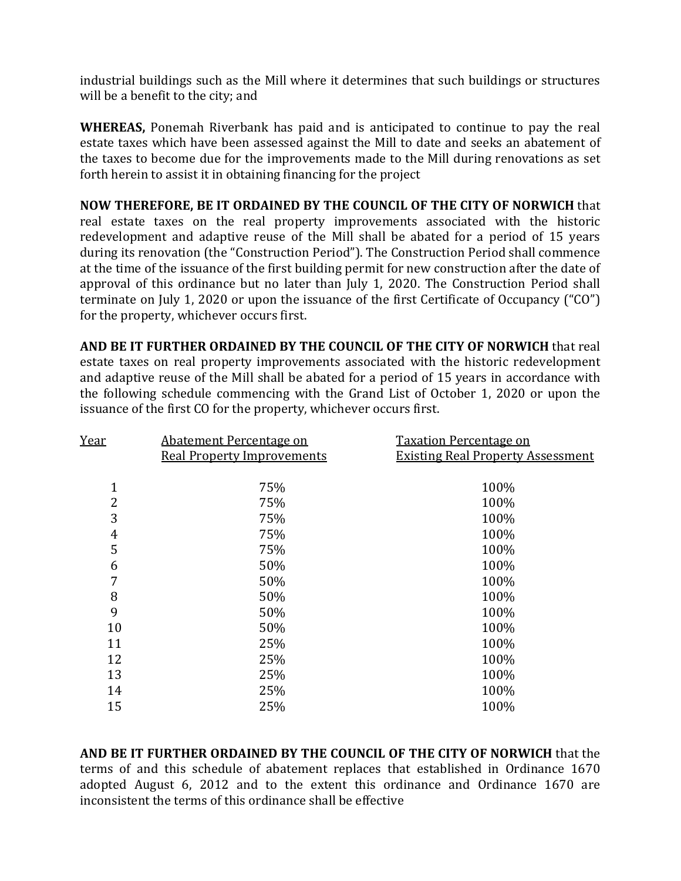industrial buildings such as the Mill where it determines that such buildings or structures will be a benefit to the city; and

**WHEREAS,** Ponemah Riverbank has paid and is anticipated to continue to pay the real estate taxes which have been assessed against the Mill to date and seeks an abatement of the taxes to become due for the improvements made to the Mill during renovations as set forth herein to assist it in obtaining financing for the project

**NOW THEREFORE, BE IT ORDAINED BY THE COUNCIL OF THE CITY OF NORWICH** that real estate taxes on the real property improvements associated with the historic redevelopment and adaptive reuse of the Mill shall be abated for a period of 15 years during its renovation (the "Construction Period"). The Construction Period shall commence at the time of the issuance of the first building permit for new construction after the date of approval of this ordinance but no later than July 1, 2020. The Construction Period shall terminate on July 1, 2020 or upon the issuance of the first Certificate of Occupancy ("CO") for the property, whichever occurs first.

**AND BE IT FURTHER ORDAINED BY THE COUNCIL OF THE CITY OF NORWICH** that real estate taxes on real property improvements associated with the historic redevelopment and adaptive reuse of the Mill shall be abated for a period of 15 years in accordance with the following schedule commencing with the Grand List of October 1, 2020 or upon the issuance of the first CO for the property, whichever occurs first.

| Abatement Percentage on | <b>Taxation Percentage on</b><br><b>Existing Real Property Assessment</b> |
|-------------------------|---------------------------------------------------------------------------|
|                         |                                                                           |
| 75%                     | 100%                                                                      |
| 75%                     | 100%                                                                      |
| 75%                     | 100%                                                                      |
| 75%                     | 100%                                                                      |
| 75%                     | 100%                                                                      |
| 50%                     | 100%                                                                      |
| 50%                     | 100%                                                                      |
| 50%                     | 100%                                                                      |
| 50%                     | 100%                                                                      |
| 50%                     | 100%                                                                      |
| 25%                     | 100%                                                                      |
| 25%                     | 100%                                                                      |
| 25%                     | 100%                                                                      |
| 25%                     | 100%                                                                      |
| 25%                     | 100%                                                                      |
|                         | <b>Real Property Improvements</b>                                         |

**AND BE IT FURTHER ORDAINED BY THE COUNCIL OF THE CITY OF NORWICH** that the terms of and this schedule of abatement replaces that established in Ordinance 1670 adopted August 6, 2012 and to the extent this ordinance and Ordinance 1670 are inconsistent the terms of this ordinance shall be effective